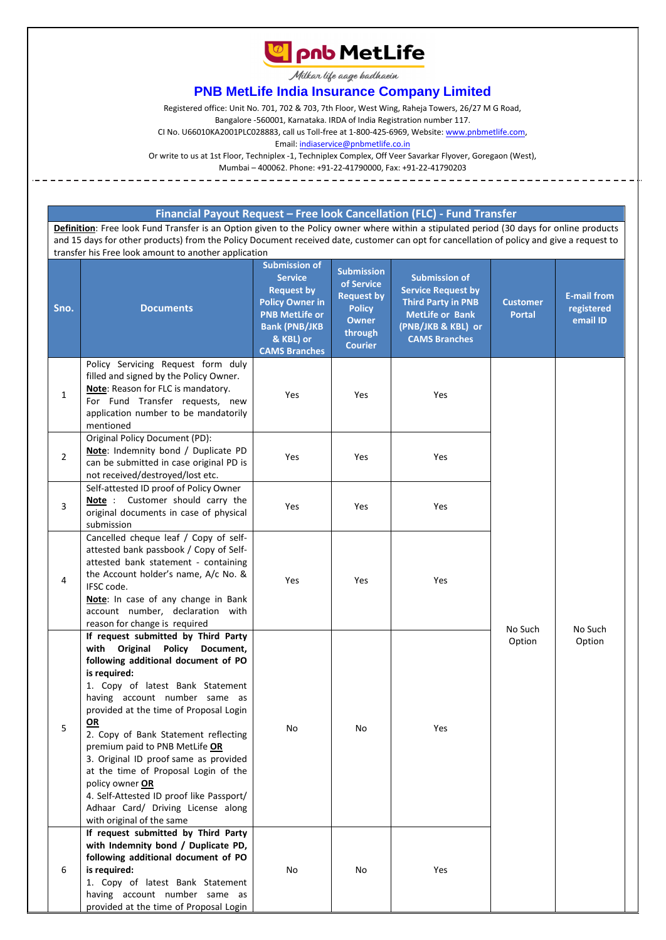

Milkar life aage hadhaein

## **PNB MetLife India Insurance Company Limited**

Registered office: Unit No. 701, 702 & 703, 7th Floor, West Wing, Raheja Towers, 26/27 M G Road,

Bangalore -560001, Karnataka. IRDA of India Registration number 117.

CI No. U66010KA2001PLC028883, call us Toll-free at 1-800-425-6969, Website[: www.pnbmetlife.com,](http://www.pnbmetlife.com/)

Email[: indiaservice@pnbmetlife.co.in](mailto:indiaservice@pnbmetlife.co.in)

Or write to us at 1st Floor, Techniplex -1, Techniplex Complex, Off Veer Savarkar Flyover, Goregaon (West),

Mumbai – 400062. Phone: +91-22-41790000, Fax: +91-22-41790203

## **Financial Payout Request – Free look Cancellation (FLC) - Fund Transfer**

**Definition**: Free look Fund Transfer is an Option given to the Policy owner where within a stipulated period (30 days for online products and 15 days for other products) from the Policy Document received date, customer can opt for cancellation of policy and give a request to transfer his Free look amount to another application

| Sno.           | <b>Documents</b>                                                                                                                                                                                                                                                                                                                                                                                                                                                                                                                                  | <b>Submission of</b><br><b>Service</b><br><b>Request by</b><br><b>Policy Owner in</b><br><b>PNB MetLife or</b><br><b>Bank (PNB/JKB</b><br>& KBL) or<br><b>CAMS Branches</b> | <b>Submission</b><br>of Service<br><b>Request by</b><br><b>Policy</b><br><b>Owner</b><br>through<br><b>Courier</b> | <b>Submission of</b><br><b>Service Request by</b><br><b>Third Party in PNB</b><br><b>MetLife or Bank</b><br>(PNB/JKB & KBL) or<br><b>CAMS Branches</b> | <b>Customer</b><br><b>Portal</b> | <b>E-mail from</b><br>registered<br>email ID |
|----------------|---------------------------------------------------------------------------------------------------------------------------------------------------------------------------------------------------------------------------------------------------------------------------------------------------------------------------------------------------------------------------------------------------------------------------------------------------------------------------------------------------------------------------------------------------|-----------------------------------------------------------------------------------------------------------------------------------------------------------------------------|--------------------------------------------------------------------------------------------------------------------|--------------------------------------------------------------------------------------------------------------------------------------------------------|----------------------------------|----------------------------------------------|
| $\mathbf{1}$   | Policy Servicing Request form duly<br>filled and signed by the Policy Owner.<br>Note: Reason for FLC is mandatory.<br>For Fund Transfer requests, new<br>application number to be mandatorily<br>mentioned                                                                                                                                                                                                                                                                                                                                        | Yes                                                                                                                                                                         | Yes                                                                                                                | Yes                                                                                                                                                    |                                  |                                              |
| $\overline{2}$ | Original Policy Document (PD):<br>Note: Indemnity bond / Duplicate PD<br>can be submitted in case original PD is<br>not received/destroyed/lost etc.                                                                                                                                                                                                                                                                                                                                                                                              | Yes                                                                                                                                                                         | Yes                                                                                                                | Yes                                                                                                                                                    |                                  |                                              |
| 3              | Self-attested ID proof of Policy Owner<br>Note: Customer should carry the<br>original documents in case of physical<br>submission                                                                                                                                                                                                                                                                                                                                                                                                                 | Yes                                                                                                                                                                         | Yes                                                                                                                | Yes                                                                                                                                                    |                                  |                                              |
| 4              | Cancelled cheque leaf / Copy of self-<br>attested bank passbook / Copy of Self-<br>attested bank statement - containing<br>the Account holder's name, A/c No. &<br>IFSC code.<br>Note: In case of any change in Bank<br>account number, declaration with<br>reason for change is required                                                                                                                                                                                                                                                         | Yes                                                                                                                                                                         | Yes                                                                                                                | Yes                                                                                                                                                    | No Such                          | No Such                                      |
| 5              | If request submitted by Third Party<br>with Original Policy<br>Document,<br>following additional document of PO<br>is required:<br>1. Copy of latest Bank Statement<br>having account number same as<br>provided at the time of Proposal Login<br>ΟR<br>2. Copy of Bank Statement reflecting<br>premium paid to PNB MetLife OR<br>3. Original ID proof same as provided<br>at the time of Proposal Login of the<br>policy owner OR<br>4. Self-Attested ID proof like Passport/<br>Adhaar Card/ Driving License along<br>with original of the same | No                                                                                                                                                                          | No                                                                                                                 | Yes                                                                                                                                                    | Option                           | Option                                       |
| 6              | If request submitted by Third Party<br>with Indemnity bond / Duplicate PD,<br>following additional document of PO<br>is required:<br>1. Copy of latest Bank Statement<br>having account number same as<br>provided at the time of Proposal Login                                                                                                                                                                                                                                                                                                  | No                                                                                                                                                                          | No                                                                                                                 | Yes                                                                                                                                                    |                                  |                                              |